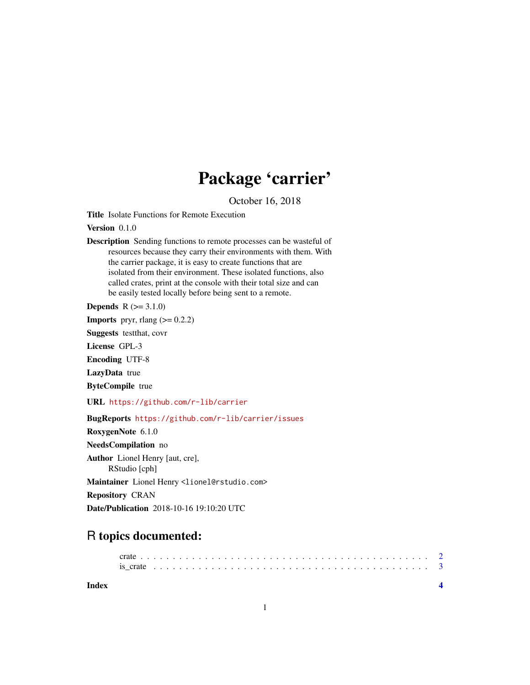## Package 'carrier'

October 16, 2018

<span id="page-0-0"></span>Title Isolate Functions for Remote Execution

Version 0.1.0

Description Sending functions to remote processes can be wasteful of resources because they carry their environments with them. With the carrier package, it is easy to create functions that are isolated from their environment. These isolated functions, also called crates, print at the console with their total size and can be easily tested locally before being sent to a remote.

**Depends**  $R (= 3.1.0)$ 

**Imports** pryr, rlang  $(>= 0.2.2)$ 

Suggests testthat, covr

License GPL-3

Encoding UTF-8

LazyData true

ByteCompile true

URL <https://github.com/r-lib/carrier>

BugReports <https://github.com/r-lib/carrier/issues>

RoxygenNote 6.1.0

NeedsCompilation no

Author Lionel Henry [aut, cre], RStudio [cph]

Maintainer Lionel Henry <lionel@rstudio.com>

Repository CRAN

Date/Publication 2018-10-16 19:10:20 UTC

### R topics documented:

**Index** [4](#page-3-0)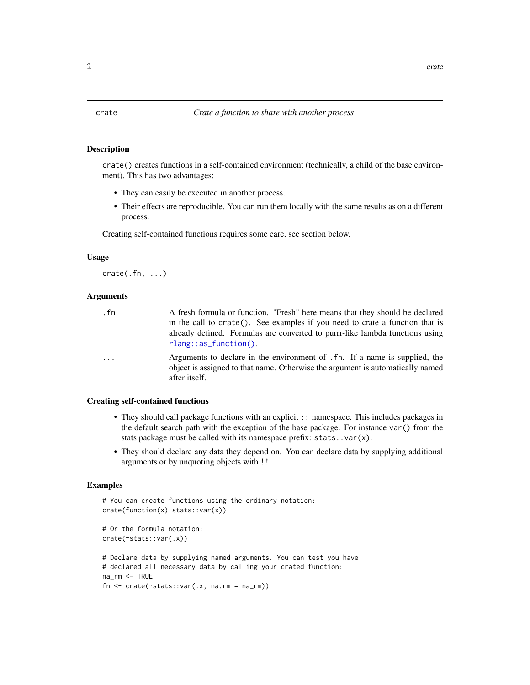### <span id="page-1-0"></span>Description

crate() creates functions in a self-contained environment (technically, a child of the base environment). This has two advantages:

- They can easily be executed in another process.
- Their effects are reproducible. You can run them locally with the same results as on a different process.

Creating self-contained functions requires some care, see section below.

### Usage

 $crate(.fn, ...)$ 

### Arguments

| . fn     | A fresh formula or function. "Fresh" here means that they should be declared                                                                                                   |
|----------|--------------------------------------------------------------------------------------------------------------------------------------------------------------------------------|
|          | in the call to crate(). See examples if you need to crate a function that is                                                                                                   |
|          | already defined. Formulas are converted to purrr-like lambda functions using                                                                                                   |
|          | $r$ lang::as_function().                                                                                                                                                       |
| $\cdots$ | Arguments to declare in the environment of . fn. If a name is supplied, the<br>object is assigned to that name. Otherwise the argument is automatically named<br>after itself. |

### Creating self-contained functions

- They should call package functions with an explicit :: namespace. This includes packages in the default search path with the exception of the base package. For instance var() from the stats package must be called with its namespace prefix:  $stats::var(x)$ .
- They should declare any data they depend on. You can declare data by supplying additional arguments or by unquoting objects with !!.

### Examples

```
# You can create functions using the ordinary notation:
crate(function(x) stats::var(x))
# Or the formula notation:
crate(~stats::var(.x))
# Declare data by supplying named arguments. You can test you have
# declared all necessary data by calling your crated function:
na_rm <- TRUE
fn \le crate(\lestats::var(.x, na.rm = na_rm))
```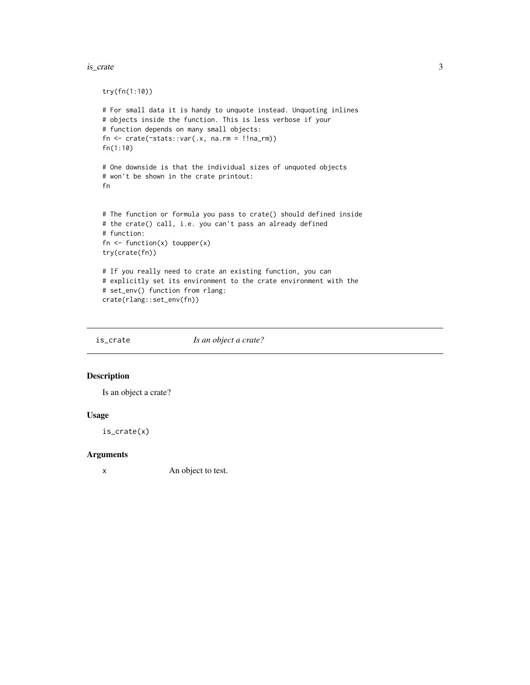### <span id="page-2-0"></span>is\_crate 3

```
try(fn(1:10))
# For small data it is handy to unquote instead. Unquoting inlines
# objects inside the function. This is less verbose if your
# function depends on many small objects:
fn \le crate(\lestats::var(.x, na.rm = !!na_rm))
fn(1:10)
# One downside is that the individual sizes of unquoted objects
# won't be shown in the crate printout:
fn
# The function or formula you pass to crate() should defined inside
# the crate() call, i.e. you can't pass an already defined
# function:
fn \leq function(x) toupper(x)
try(crate(fn))
# If you really need to crate an existing function, you can
# explicitly set its environment to the crate environment with the
# set_env() function from rlang:
crate(rlang::set_env(fn))
```
is\_crate *Is an object a crate?*

### Description

Is an object a crate?

### Usage

is\_crate(x)

### Arguments

x An object to test.